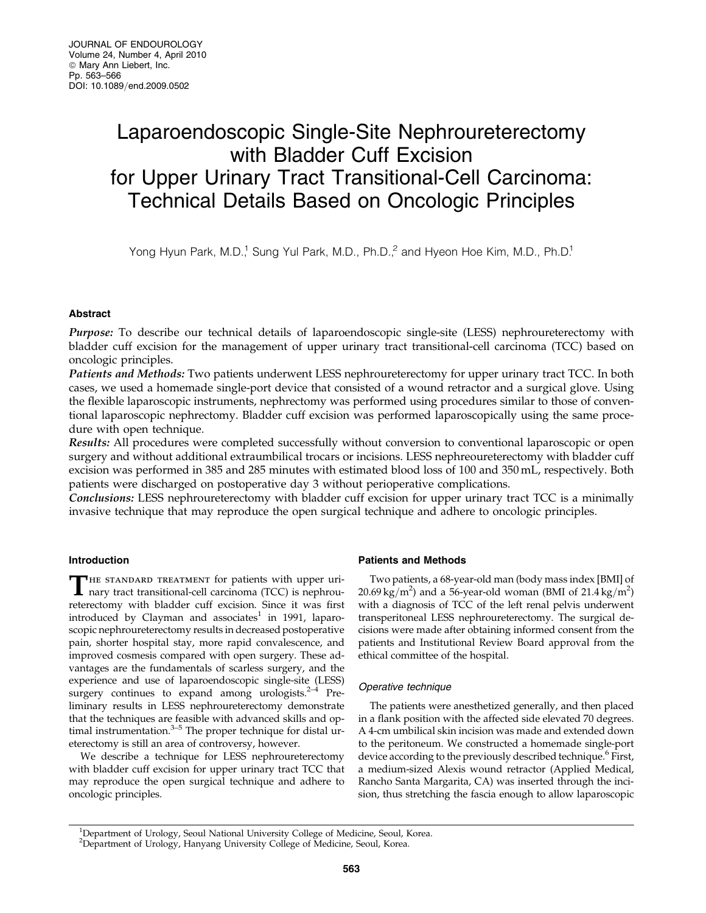# Laparoendoscopic Single-Site Nephroureterectomy with Bladder Cuff Excision for Upper Urinary Tract Transitional-Cell Carcinoma: Technical Details Based on Oncologic Principles

Yong Hyun Park, M.D.,<sup>1</sup> Sung Yul Park, M.D., Ph.D.,<sup>2</sup> and Hyeon Hoe Kim, M.D., Ph.D.<sup>1</sup>

# Abstract

Purpose: To describe our technical details of laparoendoscopic single-site (LESS) nephroureterectomy with bladder cuff excision for the management of upper urinary tract transitional-cell carcinoma (TCC) based on oncologic principles.

Patients and Methods: Two patients underwent LESS nephroureterectomy for upper urinary tract TCC. In both cases, we used a homemade single-port device that consisted of a wound retractor and a surgical glove. Using the flexible laparoscopic instruments, nephrectomy was performed using procedures similar to those of conventional laparoscopic nephrectomy. Bladder cuff excision was performed laparoscopically using the same procedure with open technique.

Results: All procedures were completed successfully without conversion to conventional laparoscopic or open surgery and without additional extraumbilical trocars or incisions. LESS nephreoureterectomy with bladder cuff excision was performed in 385 and 285 minutes with estimated blood loss of 100 and 350 mL, respectively. Both patients were discharged on postoperative day 3 without perioperative complications.

**Conclusions:** LESS nephroureterectomy with bladder cuff excision for upper urinary tract TCC is a minimally invasive technique that may reproduce the open surgical technique and adhere to oncologic principles.

# Introduction

THE STANDARD TREATMENT for patients with upper urinary tract transitional-cell carcinoma (TCC) is nephroureterectomy with bladder cuff excision. Since it was first introduced by Clayman and associates<sup>1</sup> in 1991, laparoscopic nephroureterectomy results in decreased postoperative pain, shorter hospital stay, more rapid convalescence, and improved cosmesis compared with open surgery. These advantages are the fundamentals of scarless surgery, and the experience and use of laparoendoscopic single-site (LESS) surgery continues to expand among urologists. $2-4$  Preliminary results in LESS nephroureterectomy demonstrate that the techniques are feasible with advanced skills and optimal instrumentation. $3-5$  The proper technique for distal ureterectomy is still an area of controversy, however.

We describe a technique for LESS nephroureterectomy with bladder cuff excision for upper urinary tract TCC that may reproduce the open surgical technique and adhere to oncologic principles.

# Patients and Methods

Two patients, a 68-year-old man (body mass index [BMI] of  $20.69 \text{ kg/m}^2$ ) and a 56-year-old woman (BMI of 21.4 kg/m<sup>2</sup>) with a diagnosis of TCC of the left renal pelvis underwent transperitoneal LESS nephroureterectomy. The surgical decisions were made after obtaining informed consent from the patients and Institutional Review Board approval from the ethical committee of the hospital.

# Operative technique

The patients were anesthetized generally, and then placed in a flank position with the affected side elevated 70 degrees. A 4-cm umbilical skin incision was made and extended down to the peritoneum. We constructed a homemade single-port device according to the previously described technique.<sup>6</sup> First, a medium-sized Alexis wound retractor (Applied Medical, Rancho Santa Margarita, CA) was inserted through the incision, thus stretching the fascia enough to allow laparoscopic

<sup>&</sup>lt;sup>1</sup>Department of Urology, Seoul National University College of Medicine, Seoul, Korea.

<sup>2</sup> Department of Urology, Hanyang University College of Medicine, Seoul, Korea.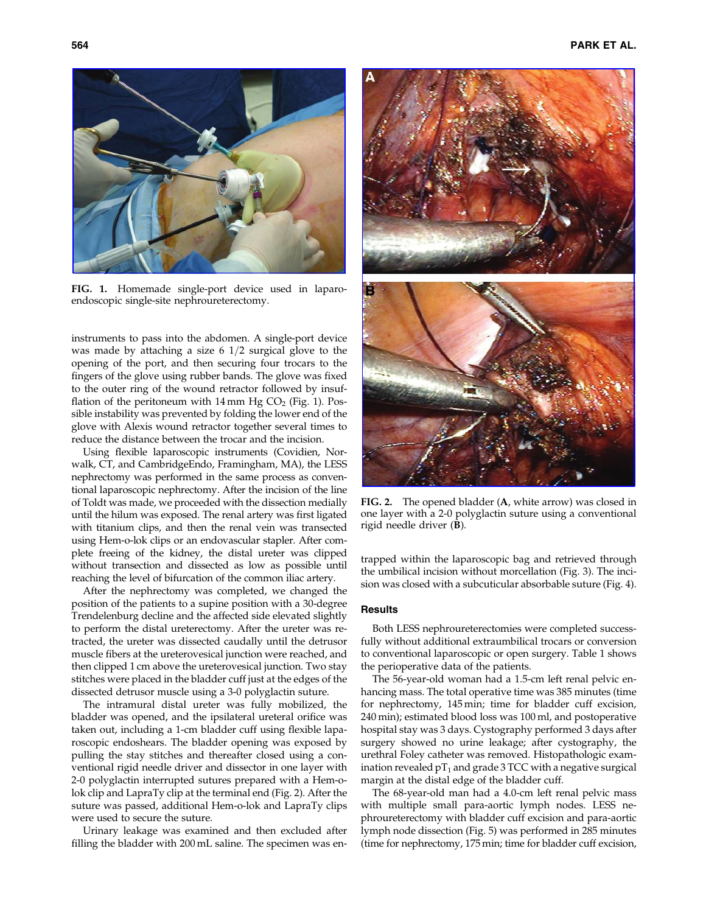

FIG. 1. Homemade single-port device used in laparoendoscopic single-site nephroureterectomy.

instruments to pass into the abdomen. A single-port device was made by attaching a size  $6 \frac{1}{2}$  surgical glove to the opening of the port, and then securing four trocars to the fingers of the glove using rubber bands. The glove was fixed to the outer ring of the wound retractor followed by insufflation of the peritoneum with  $14 \text{ mm Hg CO}_2$  (Fig. 1). Possible instability was prevented by folding the lower end of the glove with Alexis wound retractor together several times to reduce the distance between the trocar and the incision.

Using flexible laparoscopic instruments (Covidien, Norwalk, CT, and CambridgeEndo, Framingham, MA), the LESS nephrectomy was performed in the same process as conventional laparoscopic nephrectomy. After the incision of the line of Toldt was made, we proceeded with the dissection medially until the hilum was exposed. The renal artery was first ligated with titanium clips, and then the renal vein was transected using Hem-o-lok clips or an endovascular stapler. After complete freeing of the kidney, the distal ureter was clipped without transection and dissected as low as possible until reaching the level of bifurcation of the common iliac artery.

After the nephrectomy was completed, we changed the position of the patients to a supine position with a 30-degree Trendelenburg decline and the affected side elevated slightly to perform the distal ureterectomy. After the ureter was retracted, the ureter was dissected caudally until the detrusor muscle fibers at the ureterovesical junction were reached, and then clipped 1 cm above the ureterovesical junction. Two stay stitches were placed in the bladder cuff just at the edges of the dissected detrusor muscle using a 3-0 polyglactin suture.

The intramural distal ureter was fully mobilized, the bladder was opened, and the ipsilateral ureteral orifice was taken out, including a 1-cm bladder cuff using flexible laparoscopic endoshears. The bladder opening was exposed by pulling the stay stitches and thereafter closed using a conventional rigid needle driver and dissector in one layer with 2-0 polyglactin interrupted sutures prepared with a Hem-olok clip and LapraTy clip at the terminal end (Fig. 2). After the suture was passed, additional Hem-o-lok and LapraTy clips were used to secure the suture.

Urinary leakage was examined and then excluded after filling the bladder with 200 mL saline. The specimen was en-



FIG. 2. The opened bladder (A, white arrow) was closed in one layer with a 2-0 polyglactin suture using a conventional rigid needle driver (B).

trapped within the laparoscopic bag and retrieved through the umbilical incision without morcellation (Fig. 3). The incision was closed with a subcuticular absorbable suture (Fig. 4).

# **Results**

Both LESS nephroureterectomies were completed successfully without additional extraumbilical trocars or conversion to conventional laparoscopic or open surgery. Table 1 shows the perioperative data of the patients.

The 56-year-old woman had a 1.5-cm left renal pelvic enhancing mass. The total operative time was 385 minutes (time for nephrectomy, 145 min; time for bladder cuff excision, 240 min); estimated blood loss was 100 ml, and postoperative hospital stay was 3 days. Cystography performed 3 days after surgery showed no urine leakage; after cystography, the urethral Foley catheter was removed. Histopathologic examination revealed  $pT_1$  and grade 3 TCC with a negative surgical margin at the distal edge of the bladder cuff.

The 68-year-old man had a 4.0-cm left renal pelvic mass with multiple small para-aortic lymph nodes. LESS nephroureterectomy with bladder cuff excision and para-aortic lymph node dissection (Fig. 5) was performed in 285 minutes (time for nephrectomy, 175 min; time for bladder cuff excision,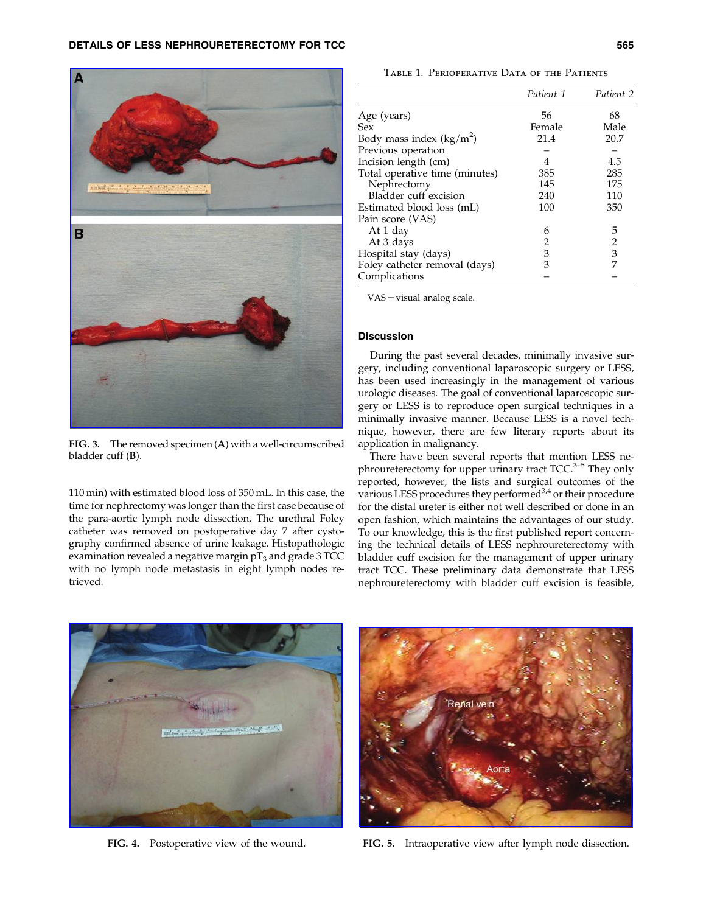

FIG. 3. The removed specimen (A) with a well-circumscribed bladder cuff (B).

110 min) with estimated blood loss of 350 mL. In this case, the time for nephrectomy was longer than the first case because of the para-aortic lymph node dissection. The urethral Foley catheter was removed on postoperative day 7 after cystography confirmed absence of urine leakage. Histopathologic examination revealed a negative margin  $pT_3$  and grade 3 TCC with no lymph node metastasis in eight lymph nodes retrieved.

Table 1. Perioperative Data of the Patients

|                                | Patient 1 | Patient 2 |
|--------------------------------|-----------|-----------|
| Age (years)                    | 56        | 68        |
| Sex                            | Female    | Male      |
| Body mass index $(kg/m^2)$     | 21.4      | 20.7      |
| Previous operation             |           |           |
| Incision length (cm)           | 4         | 4.5       |
| Total operative time (minutes) | 385       | 285       |
| Nephrectomy                    | 145       | 175       |
| Bladder cuff excision          | 240       | 110       |
| Estimated blood loss (mL)      | 100       | 350       |
| Pain score (VAS)               |           |           |
| At 1 day                       | 6         | 5         |
| At 3 days                      | 2         | 2         |
| Hospital stay (days)           | 3         | 3         |
| Foley catheter removal (days)  | 3         | 7         |
| Complications                  |           |           |

VAS = visual analog scale.

# Discussion

During the past several decades, minimally invasive surgery, including conventional laparoscopic surgery or LESS, has been used increasingly in the management of various urologic diseases. The goal of conventional laparoscopic surgery or LESS is to reproduce open surgical techniques in a minimally invasive manner. Because LESS is a novel technique, however, there are few literary reports about its application in malignancy.

There have been several reports that mention LESS nephroureterectomy for upper urinary tract TCC.<sup>3-5</sup> They only reported, however, the lists and surgical outcomes of the various LESS procedures they performed $3,4$  or their procedure for the distal ureter is either not well described or done in an open fashion, which maintains the advantages of our study. To our knowledge, this is the first published report concerning the technical details of LESS nephroureterectomy with bladder cuff excision for the management of upper urinary tract TCC. These preliminary data demonstrate that LESS nephroureterectomy with bladder cuff excision is feasible,



FIG. 4. Postoperative view of the wound.



FIG. 5. Intraoperative view after lymph node dissection.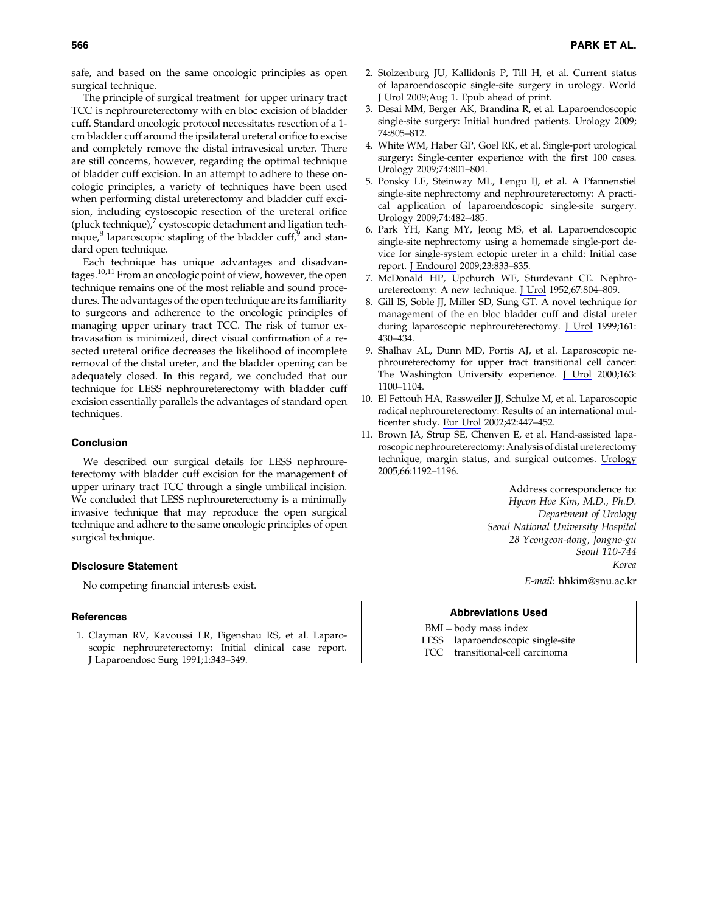safe, and based on the same oncologic principles as open surgical technique.

The principle of surgical treatment for upper urinary tract TCC is nephroureterectomy with en bloc excision of bladder cuff. Standard oncologic protocol necessitates resection of a 1 cm bladder cuff around the ipsilateral ureteral orifice to excise and completely remove the distal intravesical ureter. There are still concerns, however, regarding the optimal technique of bladder cuff excision. In an attempt to adhere to these oncologic principles, a variety of techniques have been used when performing distal ureterectomy and bladder cuff excision, including cystoscopic resection of the ureteral orifice (pluck technique), $\frac{7}{7}$  cystoscopic detachment and ligation technique, $8$  laparoscopic stapling of the bladder cuff, $9$  and standard open technique.

Each technique has unique advantages and disadvantages.10,11 From an oncologic point of view, however, the open technique remains one of the most reliable and sound procedures. The advantages of the open technique are its familiarity to surgeons and adherence to the oncologic principles of managing upper urinary tract TCC. The risk of tumor extravasation is minimized, direct visual confirmation of a resected ureteral orifice decreases the likelihood of incomplete removal of the distal ureter, and the bladder opening can be adequately closed. In this regard, we concluded that our technique for LESS nephroureterectomy with bladder cuff excision essentially parallels the advantages of standard open techniques.

# Conclusion

We described our surgical details for LESS nephroureterectomy with bladder cuff excision for the management of upper urinary tract TCC through a single umbilical incision. We concluded that LESS nephroureterectomy is a minimally invasive technique that may reproduce the open surgical technique and adhere to the same oncologic principles of open surgical technique.

#### Disclosure Statement

No competing financial interests exist.

### References

1. Clayman RV, Kavoussi LR, Figenshau RS, et al. Laparoscopic nephroureterectomy: Initial clinical case report. J Laparoendosc Surg 1991;1:343–349.

- 2. Stolzenburg JU, Kallidonis P, Till H, et al. Current status of laparoendoscopic single-site surgery in urology. World J Urol 2009;Aug 1. Epub ahead of print.
- 3. Desai MM, Berger AK, Brandina R, et al. Laparoendoscopic single-site surgery: Initial hundred patients. Urology 2009; 74:805–812.
- 4. White WM, Haber GP, Goel RK, et al. Single-port urological surgery: Single-center experience with the first 100 cases. Urology 2009;74:801–804.
- 5. Ponsky LE, Steinway ML, Lengu IJ, et al. A Pfannenstiel single-site nephrectomy and nephroureterectomy: A practical application of laparoendoscopic single-site surgery. Urology 2009;74:482–485.
- 6. Park YH, Kang MY, Jeong MS, et al. Laparoendoscopic single-site nephrectomy using a homemade single-port device for single-system ectopic ureter in a child: Initial case report. J Endourol 2009;23:833–835.
- 7. McDonald HP, Upchurch WE, Sturdevant CE. Nephroureterectomy: A new technique. J Urol 1952;67:804–809.
- 8. Gill IS, Soble JJ, Miller SD, Sung GT. A novel technique for management of the en bloc bladder cuff and distal ureter during laparoscopic nephroureterectomy. J Urol 1999;161: 430–434.
- 9. Shalhav AL, Dunn MD, Portis AJ, et al. Laparoscopic nephroureterectomy for upper tract transitional cell cancer: The Washington University experience. J Urol 2000;163: 1100–1104.
- 10. El Fettouh HA, Rassweiler JJ, Schulze M, et al. Laparoscopic radical nephroureterectomy: Results of an international multicenter study. Eur Urol 2002;42:447–452.
- 11. Brown JA, Strup SE, Chenven E, et al. Hand-assisted laparoscopic nephroureterectomy: Analysis of distal ureterectomy technique, margin status, and surgical outcomes. Urology 2005;66:1192–1196.

Address correspondence to: Hyeon Hoe Kim, M.D., Ph.D. Department of Urology Seoul National University Hospital 28 Yeongeon-dong, Jongno-gu Seoul 110-744 Korea

E-mail: hhkim@snu.ac.kr

## Abbreviations Used

- $BMI = body$  mass index
- LESS = laparoendoscopic single-site
- $TCC = transitional-cell$  carcinoma